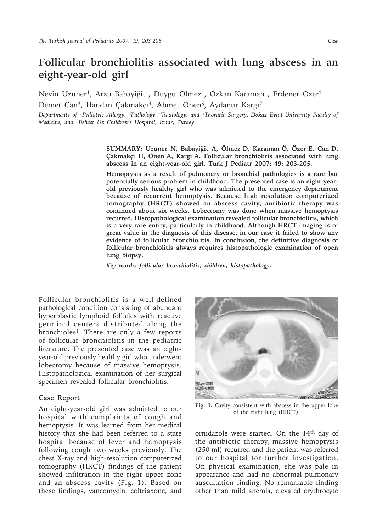## **Follicular bronchiolitis associated with lung abscess in an eight-year-old girl**

Nevin Uzuner<sup>1</sup>, Arzu Babayiğit<sup>1</sup>, Duygu Ölmez<sup>1</sup>, Özkan Karaman<sup>1</sup>, Erdener Özer<sup>2</sup> Demet Can<sup>3</sup>, Handan Çakmakçı<sup>4</sup>, Ahmet Önen<sup>5</sup>, Aydanur Kargı<sup>2</sup>

*Departments of 1Pediatric Allergy, 2Pathology, 4Radiology, and 5Thoracic Surgery, Dokuz Eylul University Faculty of Medicine, and 3Behcet Uz Children's Hospital, Izmir, Turkey*

> **SUMMARY: Uzuner N, Babayiğit A, Ölmez D, Karaman Ö, Özer E, Can D, Çakmakçı H, Önen A, Kargı A. Follicular bronchiolitis associated with lung abscess in an eight-year-old girl. Turk J Pediatr 2007; 49: 203-205.**

> **Hemoptysis as a result of pulmonary or bronchial pathologies is a rare but potentially serious problem in childhood. The presented case is an eight-yearold previously healthy girl who was admitted to the emergency department because of recurrent hemoptysis. Because high resolution computerized tomography (HRCT) showed an abscess cavity, antibiotic therapy was continued about six weeks. Lobectomy was done when massive hemoptysis recurred. Histopathological examination revealed follicular bronchiolitis, which is a very rare entity, particularly in childhood. Although HRCT imaging is of great value in the diagnosis of this disease, in our case it failed to show any evidence of follicular bronchiolitis. In conclusion, the definitive diagnosis of follicular bronchiolitis always requires histopathologic examination of open lung biopsy.**

*Key words: follicular bronchiolitis, children, histopathology.*

Follicular bronchiolitis is a well-defined pathological condition consisting of abundant hyperplastic lymphoid follicles with reactive germinal centers distributed along the bronchioles<sup>1</sup>. There are only a few reports of follicular bronchiolitis in the pediatric literature. The presented case was an eightyear-old previously healthy girl who underwent lobectomy because of massive hemoptysis. Histopathological examination of her surgical specimen revealed follicular bronchiolitis.

## **Case Report**

An eight-year-old girl was admitted to our hospital with complaints of cough and hemoptysis. It was learned from her medical history that she had been referred to a state hospital because of fever and hemoptysis following cough two weeks previously. The chest X-ray and high-resolution computerized tomography (HRCT) findings of the patient showed infiltration in the right upper zone and an abscess cavity (Fig. 1). Based on these findings, vancomycin, ceftriaxone, and



**Fig. 1.** Cavity consistent with abscess in the upper lobe of the right lung (HRCT).

ornidazole were started. On the 14th day of the antibiotic therapy, massive hemoptysis (250 ml) recurred and the patient was referred to our hospital for further investigation. On physical examination, she was pale in appearance and had no abnormal pulmonary auscultation finding. No remarkable finding other than mild anemia, elevated erythrocyte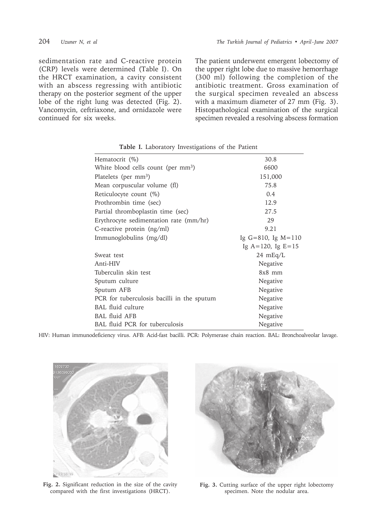sedimentation rate and C-reactive protein (CRP) levels were determined (Table I). On the HRCT examination, a cavity consistent with an abscess regressing with antibiotic therapy on the posterior segment of the upper lobe of the right lung was detected (Fig. 2). Vancomycin, ceftriaxone, and ornidazole were continued for six weeks.

204 *Uzuner N, et al The Turkish Journal of Pediatrics • April - June 2007*

The patient underwent emergent lobectomy of the upper right lobe due to massive hemorrhage (300 ml) following the completion of the antibiotic treatment. Gross examination of the surgical specimen revealed an abscess with a maximum diameter of 27 mm (Fig. 3). Histopathological examination of the surgical specimen revealed a resolving abscess formation

| Hematocrit (%)                                 | 30.8                    |
|------------------------------------------------|-------------------------|
| White blood cells count (per mm <sup>3</sup> ) | 6600                    |
| Platelets (per mm <sup>3</sup> )               | 151,000                 |
| Mean corpuscular volume (fl)                   | 75.8                    |
| Reticulocyte count (%)                         | 0.4                     |
| Prothrombin time (sec)                         | 12.9                    |
| Partial thromboplastin time (sec)              | 27.5                    |
| Erythrocyte sedimentation rate (mm/hr)         | 29                      |
| C-reactive protein (ng/ml)                     | 9.21                    |
| Immunoglobulins (mg/dl)                        | Ig $G=810$ , Ig $M=110$ |
|                                                | Ig $A=120$ , Ig $E=15$  |
| Sweat test                                     | $24 \text{ mEq/L}$      |
| Anti-HIV                                       | Negative                |
| Tuberculin skin test                           | $8x8$ mm                |
| Sputum culture                                 | Negative                |
| Sputum AFB                                     | Negative                |
| PCR for tuberculosis bacilli in the sputum     | Negative                |
| <b>BAL</b> fluid culture                       | Negative                |
| <b>BAL</b> fluid AFB                           | Negative                |
| BAL fluid PCR for tuberculosis                 | Negative                |
|                                                |                         |

**Table I.** Laboratory Investigations of the Patient

HIV: Human immunodeficiency virus. AFB: Acid-fast bacilli. PCR: Polymerase chain reaction. BAL: Bronchoalveolar lavage.



**Fig. 2.** Significant reduction in the size of the cavity compared with the first investigations (HRCT).



**Fig. 3.** Cutting surface of the upper right lobectomy specimen. Note the nodular area.